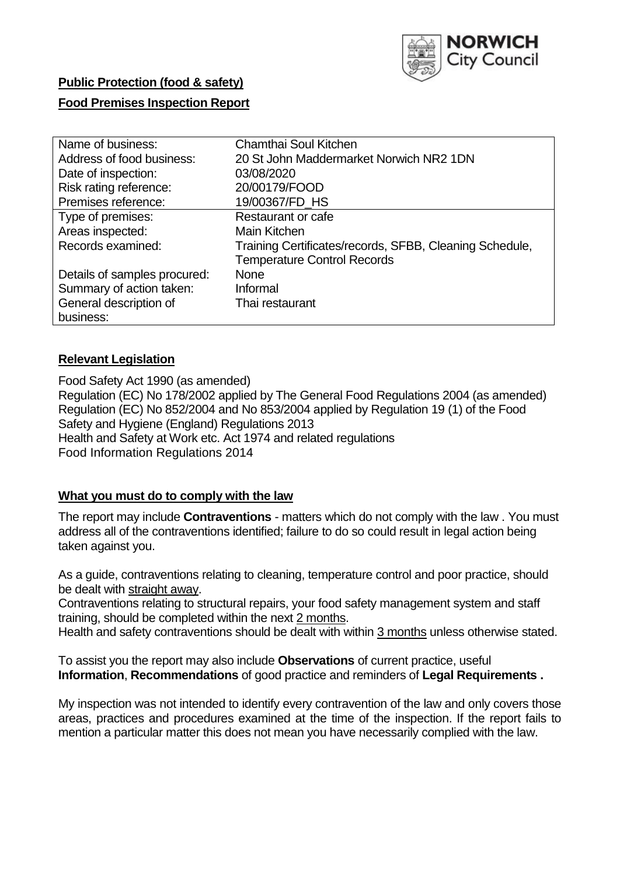

# **Public Protection (food & safety)**

## **Food Premises Inspection Report**

| Name of business:            | Chamthai Soul Kitchen                                   |
|------------------------------|---------------------------------------------------------|
| Address of food business:    | 20 St John Maddermarket Norwich NR2 1DN                 |
| Date of inspection:          | 03/08/2020                                              |
| Risk rating reference:       | 20/00179/FOOD                                           |
| Premises reference:          | 19/00367/FD HS                                          |
| Type of premises:            | Restaurant or cafe                                      |
| Areas inspected:             | Main Kitchen                                            |
| Records examined:            | Training Certificates/records, SFBB, Cleaning Schedule, |
|                              | <b>Temperature Control Records</b>                      |
| Details of samples procured: | <b>None</b>                                             |
| Summary of action taken:     | Informal                                                |
| General description of       | Thai restaurant                                         |
| business:                    |                                                         |

## **Relevant Legislation**

Food Safety Act 1990 (as amended) Regulation (EC) No 178/2002 applied by The General Food Regulations 2004 (as amended) Regulation (EC) No 852/2004 and No 853/2004 applied by Regulation 19 (1) of the Food Safety and Hygiene (England) Regulations 2013 Health and Safety at Work etc. Act 1974 and related regulations Food Information Regulations 2014

## **What you must do to comply with the law**

The report may include **Contraventions** - matters which do not comply with the law . You must address all of the contraventions identified; failure to do so could result in legal action being taken against you.

As a guide, contraventions relating to cleaning, temperature control and poor practice, should be dealt with straight away.

Contraventions relating to structural repairs, your food safety management system and staff training, should be completed within the next 2 months.

Health and safety contraventions should be dealt with within 3 months unless otherwise stated.

To assist you the report may also include **Observations** of current practice, useful **Information**, **Recommendations** of good practice and reminders of **Legal Requirements .** 

My inspection was not intended to identify every contravention of the law and only covers those areas, practices and procedures examined at the time of the inspection. If the report fails to mention a particular matter this does not mean you have necessarily complied with the law.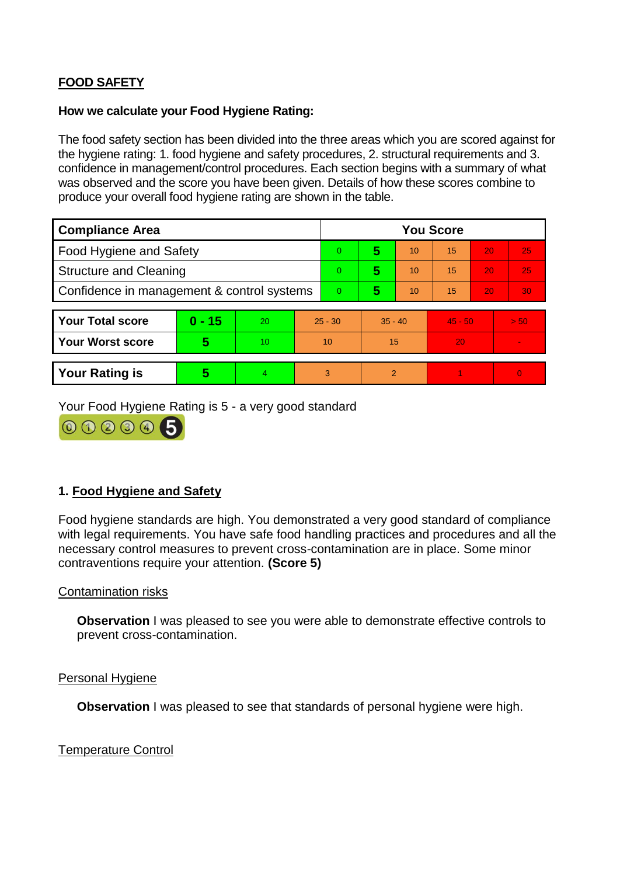# **FOOD SAFETY**

#### **How we calculate your Food Hygiene Rating:**

The food safety section has been divided into the three areas which you are scored against for the hygiene rating: 1. food hygiene and safety procedures, 2. structural requirements and 3. confidence in management/control procedures. Each section begins with a summary of what was observed and the score you have been given. Details of how these scores combine to produce your overall food hygiene rating are shown in the table.

| <b>Compliance Area</b>                     |          |    |   | <b>You Score</b> |                |    |           |    |          |  |  |
|--------------------------------------------|----------|----|---|------------------|----------------|----|-----------|----|----------|--|--|
| Food Hygiene and Safety                    |          |    |   | $\Omega$         | 5              | 10 | 15        | 20 | 25       |  |  |
| <b>Structure and Cleaning</b>              |          |    |   | $\overline{0}$   | 5              | 10 | 15        | 20 | 25       |  |  |
| Confidence in management & control systems |          |    |   | $\overline{0}$   | 5              | 10 | 15        | 20 | 30       |  |  |
|                                            |          |    |   |                  |                |    |           |    |          |  |  |
| <b>Your Total score</b>                    | $0 - 15$ | 20 |   | $25 - 30$        | $35 - 40$      |    | $45 - 50$ |    | > 50     |  |  |
| <b>Your Worst score</b>                    | 5        | 10 |   | 10               | 15             |    | 20        |    |          |  |  |
|                                            |          |    |   |                  |                |    |           |    |          |  |  |
| <b>Your Rating is</b>                      | 5        | 4  | 3 |                  | $\overline{2}$ |    |           |    | $\Omega$ |  |  |

Your Food Hygiene Rating is 5 - a very good standard



## **1. Food Hygiene and Safety**

Food hygiene standards are high. You demonstrated a very good standard of compliance with legal requirements. You have safe food handling practices and procedures and all the necessary control measures to prevent cross-contamination are in place. Some minor contraventions require your attention. **(Score 5)** 

## Contamination risks

**Observation** I was pleased to see you were able to demonstrate effective controls to prevent cross-contamination.

#### Personal Hygiene

**Observation** I was pleased to see that standards of personal hygiene were high.

Temperature Control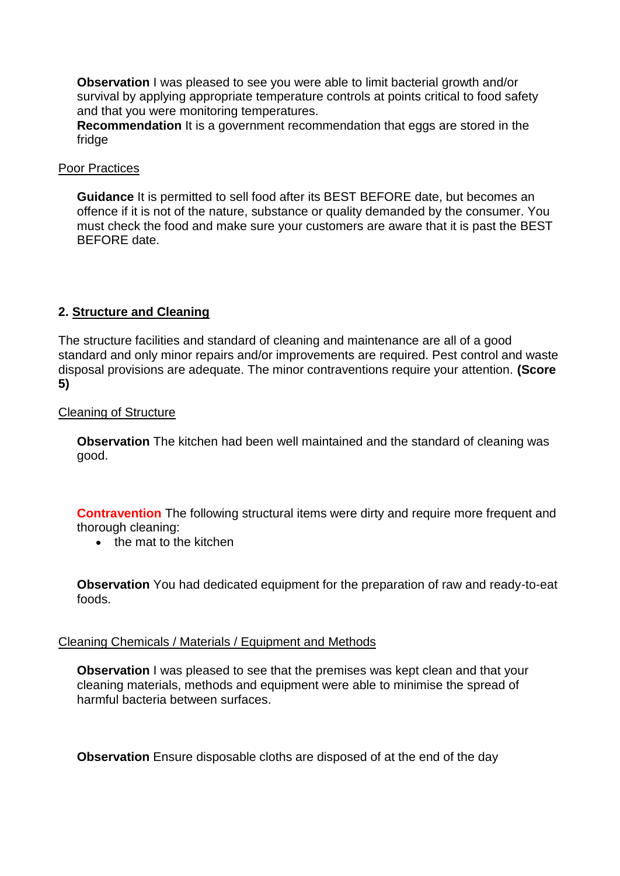**Observation** I was pleased to see you were able to limit bacterial growth and/or survival by applying appropriate temperature controls at points critical to food safety and that you were monitoring temperatures.

**Recommendation** It is a government recommendation that eggs are stored in the fridge

#### Poor Practices

**Guidance** It is permitted to sell food after its BEST BEFORE date, but becomes an offence if it is not of the nature, substance or quality demanded by the consumer. You must check the food and make sure your customers are aware that it is past the BEST BEFORE date.

## **2. Structure and Cleaning**

The structure facilities and standard of cleaning and maintenance are all of a good standard and only minor repairs and/or improvements are required. Pest control and waste disposal provisions are adequate. The minor contraventions require your attention. **(Score 5)** 

## Cleaning of Structure

**Observation** The kitchen had been well maintained and the standard of cleaning was good.

**Contravention** The following structural items were dirty and require more frequent and thorough cleaning:

 $\bullet$  the mat to the kitchen

**Observation** You had dedicated equipment for the preparation of raw and ready-to-eat foods.

## Cleaning Chemicals / Materials / Equipment and Methods

**Observation** I was pleased to see that the premises was kept clean and that your cleaning materials, methods and equipment were able to minimise the spread of harmful bacteria between surfaces.

**Observation** Ensure disposable cloths are disposed of at the end of the day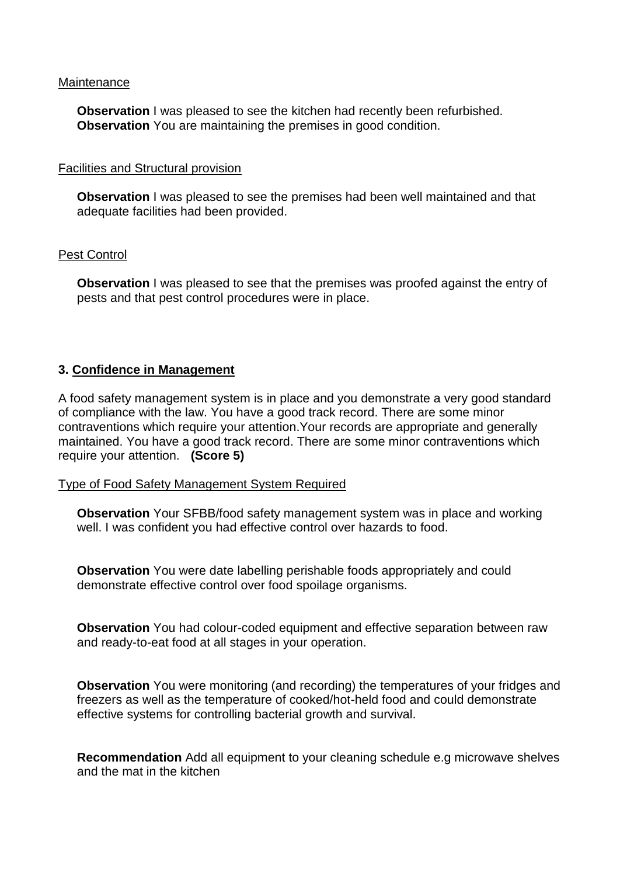#### **Maintenance**

**Observation** I was pleased to see the kitchen had recently been refurbished. **Observation** You are maintaining the premises in good condition.

## Facilities and Structural provision

**Observation** I was pleased to see the premises had been well maintained and that adequate facilities had been provided.

## Pest Control

**Observation** I was pleased to see that the premises was proofed against the entry of pests and that pest control procedures were in place.

## **3. Confidence in Management**

A food safety management system is in place and you demonstrate a very good standard of compliance with the law. You have a good track record. There are some minor contraventions which require your attention.Your records are appropriate and generally maintained. You have a good track record. There are some minor contraventions which require your attention. **(Score 5)** 

#### Type of Food Safety Management System Required

**Observation** Your SFBB/food safety management system was in place and working well. I was confident you had effective control over hazards to food.

**Observation** You were date labelling perishable foods appropriately and could demonstrate effective control over food spoilage organisms.

**Observation** You had colour-coded equipment and effective separation between raw and ready-to-eat food at all stages in your operation.

**Observation** You were monitoring (and recording) the temperatures of your fridges and freezers as well as the temperature of cooked/hot-held food and could demonstrate effective systems for controlling bacterial growth and survival.

**Recommendation** Add all equipment to your cleaning schedule e.g microwave shelves and the mat in the kitchen